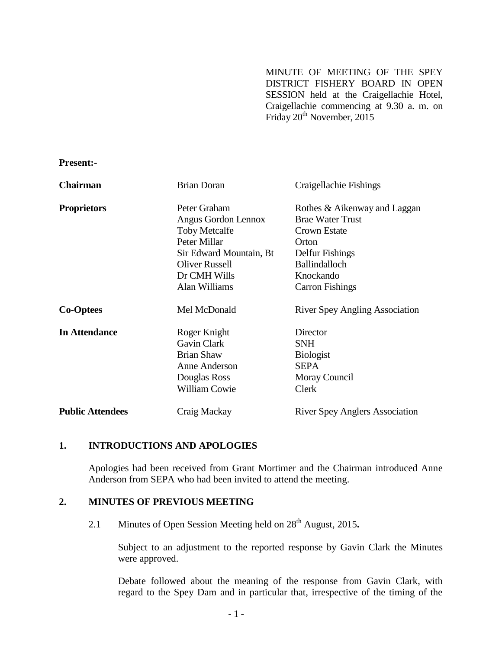MINUTE OF MEETING OF THE SPEY DISTRICT FISHERY BOARD IN OPEN SESSION held at the Craigellachie Hotel, Craigellachie commencing at 9.30 a. m. on Friday 20<sup>th</sup> November, 2015

**Present:-**

| <b>Chairman</b>         | <b>Brian Doran</b>      | Craigellachie Fishings                |
|-------------------------|-------------------------|---------------------------------------|
| <b>Proprietors</b>      | Peter Graham            | Rothes & Aikenway and Laggan          |
|                         | Angus Gordon Lennox     | <b>Brae Water Trust</b>               |
|                         | <b>Toby Metcalfe</b>    | Crown Estate                          |
|                         | Peter Millar            | Orton                                 |
|                         | Sir Edward Mountain, Bt | Delfur Fishings                       |
|                         | <b>Oliver Russell</b>   | <b>Ballindalloch</b>                  |
|                         | Dr CMH Wills            | Knockando                             |
|                         | Alan Williams           | <b>Carron Fishings</b>                |
| <b>Co-Optees</b>        | Mel McDonald            | <b>River Spey Angling Association</b> |
| <b>In Attendance</b>    | Roger Knight            | Director                              |
|                         | Gavin Clark             | <b>SNH</b>                            |
|                         | <b>Brian Shaw</b>       | <b>Biologist</b>                      |
|                         | Anne Anderson           | <b>SEPA</b>                           |
|                         | Douglas Ross            | Moray Council                         |
|                         | William Cowie           | Clerk                                 |
| <b>Public Attendees</b> | Craig Mackay            | <b>River Spey Anglers Association</b> |

### **1. INTRODUCTIONS AND APOLOGIES**

Apologies had been received from Grant Mortimer and the Chairman introduced Anne Anderson from SEPA who had been invited to attend the meeting.

## **2. MINUTES OF PREVIOUS MEETING**

2.1 Minutes of Open Session Meeting held on 28<sup>th</sup> August, 2015.

Subject to an adjustment to the reported response by Gavin Clark the Minutes were approved.

Debate followed about the meaning of the response from Gavin Clark, with regard to the Spey Dam and in particular that, irrespective of the timing of the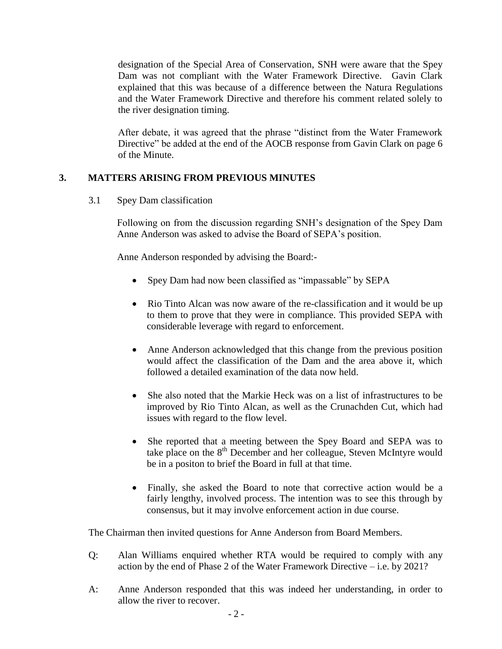designation of the Special Area of Conservation, SNH were aware that the Spey Dam was not compliant with the Water Framework Directive. Gavin Clark explained that this was because of a difference between the Natura Regulations and the Water Framework Directive and therefore his comment related solely to the river designation timing.

After debate, it was agreed that the phrase "distinct from the Water Framework Directive" be added at the end of the AOCB response from Gavin Clark on page 6 of the Minute.

# **3. MATTERS ARISING FROM PREVIOUS MINUTES**

3.1 Spey Dam classification

Following on from the discussion regarding SNH's designation of the Spey Dam Anne Anderson was asked to advise the Board of SEPA's position.

Anne Anderson responded by advising the Board:-

- Spey Dam had now been classified as "impassable" by SEPA
- Rio Tinto Alcan was now aware of the re-classification and it would be up to them to prove that they were in compliance. This provided SEPA with considerable leverage with regard to enforcement.
- Anne Anderson acknowledged that this change from the previous position would affect the classification of the Dam and the area above it, which followed a detailed examination of the data now held.
- She also noted that the Markie Heck was on a list of infrastructures to be improved by Rio Tinto Alcan, as well as the Crunachden Cut, which had issues with regard to the flow level.
- She reported that a meeting between the Spey Board and SEPA was to take place on the 8<sup>th</sup> December and her colleague, Steven McIntyre would be in a positon to brief the Board in full at that time.
- Finally, she asked the Board to note that corrective action would be a fairly lengthy, involved process. The intention was to see this through by consensus, but it may involve enforcement action in due course.

The Chairman then invited questions for Anne Anderson from Board Members.

- Q: Alan Williams enquired whether RTA would be required to comply with any action by the end of Phase 2 of the Water Framework Directive – i.e. by 2021?
- A: Anne Anderson responded that this was indeed her understanding, in order to allow the river to recover.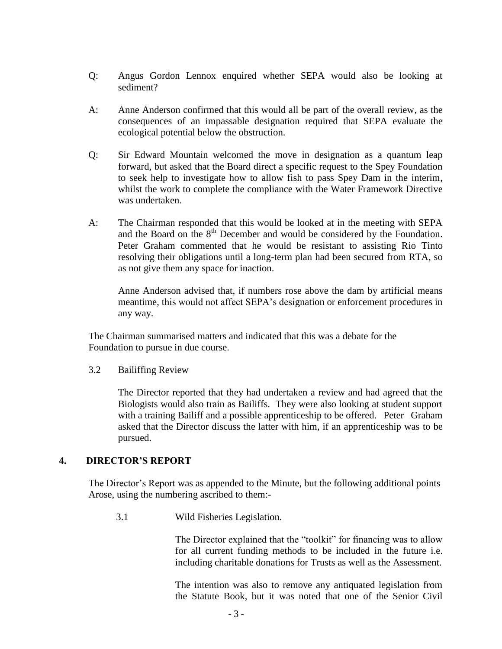- Q: Angus Gordon Lennox enquired whether SEPA would also be looking at sediment?
- A: Anne Anderson confirmed that this would all be part of the overall review, as the consequences of an impassable designation required that SEPA evaluate the ecological potential below the obstruction.
- Q: Sir Edward Mountain welcomed the move in designation as a quantum leap forward, but asked that the Board direct a specific request to the Spey Foundation to seek help to investigate how to allow fish to pass Spey Dam in the interim, whilst the work to complete the compliance with the Water Framework Directive was undertaken.
- A: The Chairman responded that this would be looked at in the meeting with SEPA and the Board on the 8<sup>th</sup> December and would be considered by the Foundation. Peter Graham commented that he would be resistant to assisting Rio Tinto resolving their obligations until a long-term plan had been secured from RTA, so as not give them any space for inaction.

Anne Anderson advised that, if numbers rose above the dam by artificial means meantime, this would not affect SEPA's designation or enforcement procedures in any way.

The Chairman summarised matters and indicated that this was a debate for the Foundation to pursue in due course.

3.2 Bailiffing Review

The Director reported that they had undertaken a review and had agreed that the Biologists would also train as Bailiffs. They were also looking at student support with a training Bailiff and a possible apprenticeship to be offered. Peter Graham asked that the Director discuss the latter with him, if an apprenticeship was to be pursued.

### **4. DIRECTOR'S REPORT**

The Director's Report was as appended to the Minute, but the following additional points Arose, using the numbering ascribed to them:-

3.1 Wild Fisheries Legislation.

The Director explained that the "toolkit" for financing was to allow for all current funding methods to be included in the future i.e. including charitable donations for Trusts as well as the Assessment.

The intention was also to remove any antiquated legislation from the Statute Book, but it was noted that one of the Senior Civil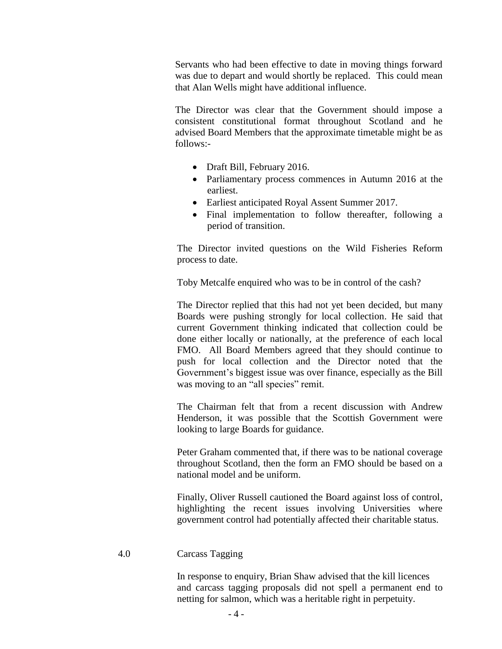Servants who had been effective to date in moving things forward was due to depart and would shortly be replaced. This could mean that Alan Wells might have additional influence.

 The Director was clear that the Government should impose a consistent constitutional format throughout Scotland and he advised Board Members that the approximate timetable might be as follows:-

- Draft Bill, February 2016.
- Parliamentary process commences in Autumn 2016 at the earliest.
- Earliest anticipated Royal Assent Summer 2017.
- Final implementation to follow thereafter, following a period of transition.

The Director invited questions on the Wild Fisheries Reform process to date.

Toby Metcalfe enquired who was to be in control of the cash?

The Director replied that this had not yet been decided, but many Boards were pushing strongly for local collection. He said that current Government thinking indicated that collection could be done either locally or nationally, at the preference of each local FMO. All Board Members agreed that they should continue to push for local collection and the Director noted that the Government's biggest issue was over finance, especially as the Bill was moving to an "all species" remit.

The Chairman felt that from a recent discussion with Andrew Henderson, it was possible that the Scottish Government were looking to large Boards for guidance.

Peter Graham commented that, if there was to be national coverage throughout Scotland, then the form an FMO should be based on a national model and be uniform.

Finally, Oliver Russell cautioned the Board against loss of control, highlighting the recent issues involving Universities where government control had potentially affected their charitable status.

#### 4.0 Carcass Tagging

In response to enquiry, Brian Shaw advised that the kill licences and carcass tagging proposals did not spell a permanent end to netting for salmon, which was a heritable right in perpetuity.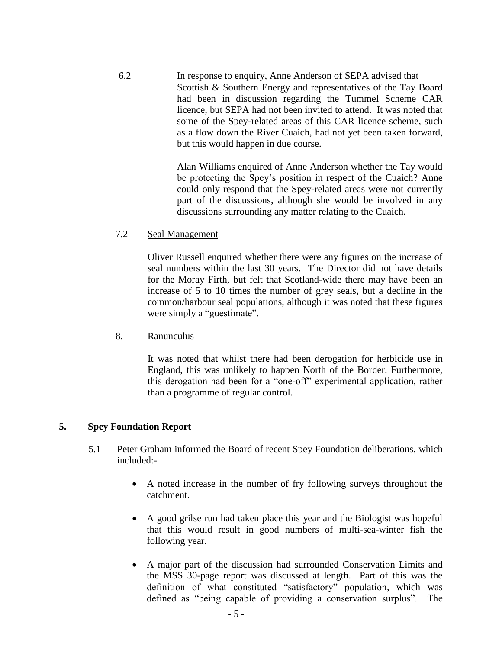6.2 In response to enquiry, Anne Anderson of SEPA advised that Scottish & Southern Energy and representatives of the Tay Board had been in discussion regarding the Tummel Scheme CAR licence, but SEPA had not been invited to attend. It was noted that some of the Spey-related areas of this CAR licence scheme, such as a flow down the River Cuaich, had not yet been taken forward, but this would happen in due course.

> Alan Williams enquired of Anne Anderson whether the Tay would be protecting the Spey's position in respect of the Cuaich? Anne could only respond that the Spey-related areas were not currently part of the discussions, although she would be involved in any discussions surrounding any matter relating to the Cuaich.

### 7.2 Seal Management

Oliver Russell enquired whether there were any figures on the increase of seal numbers within the last 30 years. The Director did not have details for the Moray Firth, but felt that Scotland-wide there may have been an increase of 5 to 10 times the number of grey seals, but a decline in the common/harbour seal populations, although it was noted that these figures were simply a "guestimate".

8. Ranunculus

It was noted that whilst there had been derogation for herbicide use in England, this was unlikely to happen North of the Border. Furthermore, this derogation had been for a "one-off" experimental application, rather than a programme of regular control.

### **5. Spey Foundation Report**

- 5.1 Peter Graham informed the Board of recent Spey Foundation deliberations, which included:-
	- A noted increase in the number of fry following surveys throughout the catchment.
	- A good grilse run had taken place this year and the Biologist was hopeful that this would result in good numbers of multi-sea-winter fish the following year.
	- A major part of the discussion had surrounded Conservation Limits and the MSS 30-page report was discussed at length. Part of this was the definition of what constituted "satisfactory" population, which was defined as "being capable of providing a conservation surplus". The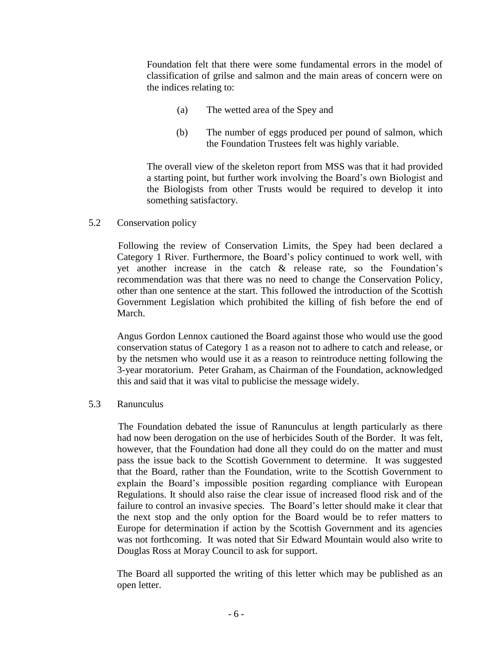Foundation felt that there were some fundamental errors in the model of classification of grilse and salmon and the main areas of concern were on the indices relating to:

- (a) The wetted area of the Spey and
- (b) The number of eggs produced per pound of salmon, which the Foundation Trustees felt was highly variable.

The overall view of the skeleton report from MSS was that it had provided a starting point, but further work involving the Board's own Biologist and the Biologists from other Trusts would be required to develop it into something satisfactory.

### 5.2 Conservation policy

Following the review of Conservation Limits, the Spey had been declared a Category 1 River. Furthermore, the Board's policy continued to work well, with yet another increase in the catch & release rate, so the Foundation's recommendation was that there was no need to change the Conservation Policy, other than one sentence at the start. This followed the introduction of the Scottish Government Legislation which prohibited the killing of fish before the end of March.

Angus Gordon Lennox cautioned the Board against those who would use the good conservation status of Category 1 as a reason not to adhere to catch and release, or by the netsmen who would use it as a reason to reintroduce netting following the 3-year moratorium. Peter Graham, as Chairman of the Foundation, acknowledged this and said that it was vital to publicise the message widely.

### 5.3 Ranunculus

The Foundation debated the issue of Ranunculus at length particularly as there had now been derogation on the use of herbicides South of the Border. It was felt, however, that the Foundation had done all they could do on the matter and must pass the issue back to the Scottish Government to determine. It was suggested that the Board, rather than the Foundation, write to the Scottish Government to explain the Board's impossible position regarding compliance with European Regulations. It should also raise the clear issue of increased flood risk and of the failure to control an invasive species. The Board's letter should make it clear that the next stop and the only option for the Board would be to refer matters to Europe for determination if action by the Scottish Government and its agencies was not forthcoming. It was noted that Sir Edward Mountain would also write to Douglas Ross at Moray Council to ask for support.

The Board all supported the writing of this letter which may be published as an open letter.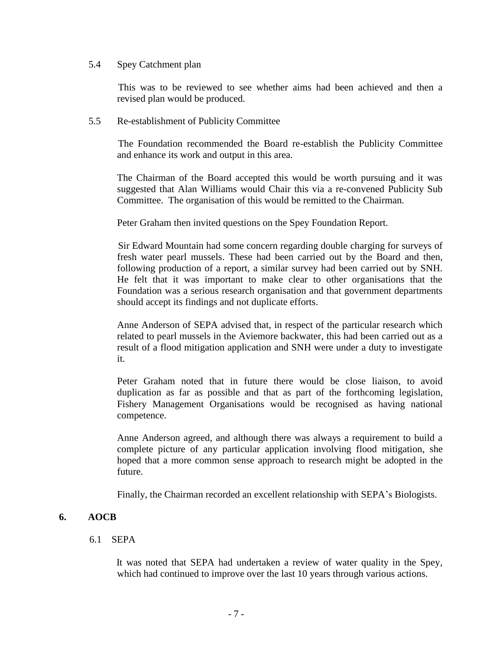#### 5.4 Spey Catchment plan

This was to be reviewed to see whether aims had been achieved and then a revised plan would be produced.

#### 5.5 Re-establishment of Publicity Committee

The Foundation recommended the Board re-establish the Publicity Committee and enhance its work and output in this area.

The Chairman of the Board accepted this would be worth pursuing and it was suggested that Alan Williams would Chair this via a re-convened Publicity Sub Committee. The organisation of this would be remitted to the Chairman.

Peter Graham then invited questions on the Spey Foundation Report.

Sir Edward Mountain had some concern regarding double charging for surveys of fresh water pearl mussels. These had been carried out by the Board and then, following production of a report, a similar survey had been carried out by SNH. He felt that it was important to make clear to other organisations that the Foundation was a serious research organisation and that government departments should accept its findings and not duplicate efforts.

Anne Anderson of SEPA advised that, in respect of the particular research which related to pearl mussels in the Aviemore backwater, this had been carried out as a result of a flood mitigation application and SNH were under a duty to investigate it.

Peter Graham noted that in future there would be close liaison, to avoid duplication as far as possible and that as part of the forthcoming legislation, Fishery Management Organisations would be recognised as having national competence.

Anne Anderson agreed, and although there was always a requirement to build a complete picture of any particular application involving flood mitigation, she hoped that a more common sense approach to research might be adopted in the future.

Finally, the Chairman recorded an excellent relationship with SEPA's Biologists.

### **6. AOCB**

### 6.1 SEPA

 It was noted that SEPA had undertaken a review of water quality in the Spey, which had continued to improve over the last 10 years through various actions.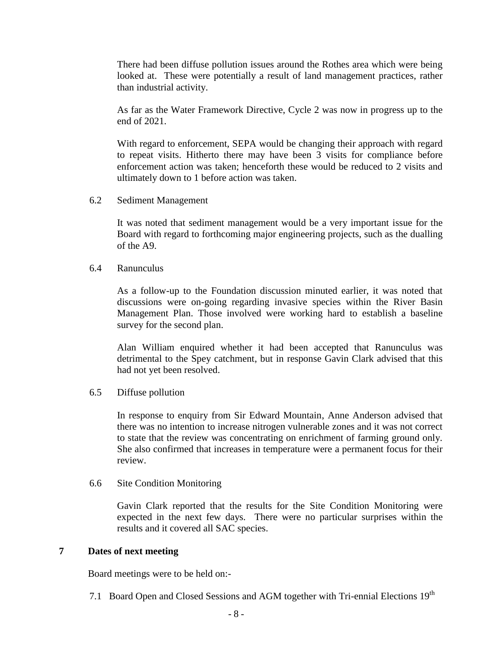There had been diffuse pollution issues around the Rothes area which were being looked at. These were potentially a result of land management practices, rather than industrial activity.

As far as the Water Framework Directive, Cycle 2 was now in progress up to the end of 2021.

With regard to enforcement, SEPA would be changing their approach with regard to repeat visits. Hitherto there may have been 3 visits for compliance before enforcement action was taken; henceforth these would be reduced to 2 visits and ultimately down to 1 before action was taken.

6.2 Sediment Management

It was noted that sediment management would be a very important issue for the Board with regard to forthcoming major engineering projects, such as the dualling of the A9.

6.4 Ranunculus

As a follow-up to the Foundation discussion minuted earlier, it was noted that discussions were on-going regarding invasive species within the River Basin Management Plan. Those involved were working hard to establish a baseline survey for the second plan.

Alan William enquired whether it had been accepted that Ranunculus was detrimental to the Spey catchment, but in response Gavin Clark advised that this had not yet been resolved.

6.5 Diffuse pollution

In response to enquiry from Sir Edward Mountain, Anne Anderson advised that there was no intention to increase nitrogen vulnerable zones and it was not correct to state that the review was concentrating on enrichment of farming ground only. She also confirmed that increases in temperature were a permanent focus for their review.

6.6 Site Condition Monitoring

Gavin Clark reported that the results for the Site Condition Monitoring were expected in the next few days. There were no particular surprises within the results and it covered all SAC species.

### **7 Dates of next meeting**

Board meetings were to be held on:-

7.1 Board Open and Closed Sessions and AGM together with Tri-ennial Elections 19<sup>th</sup>